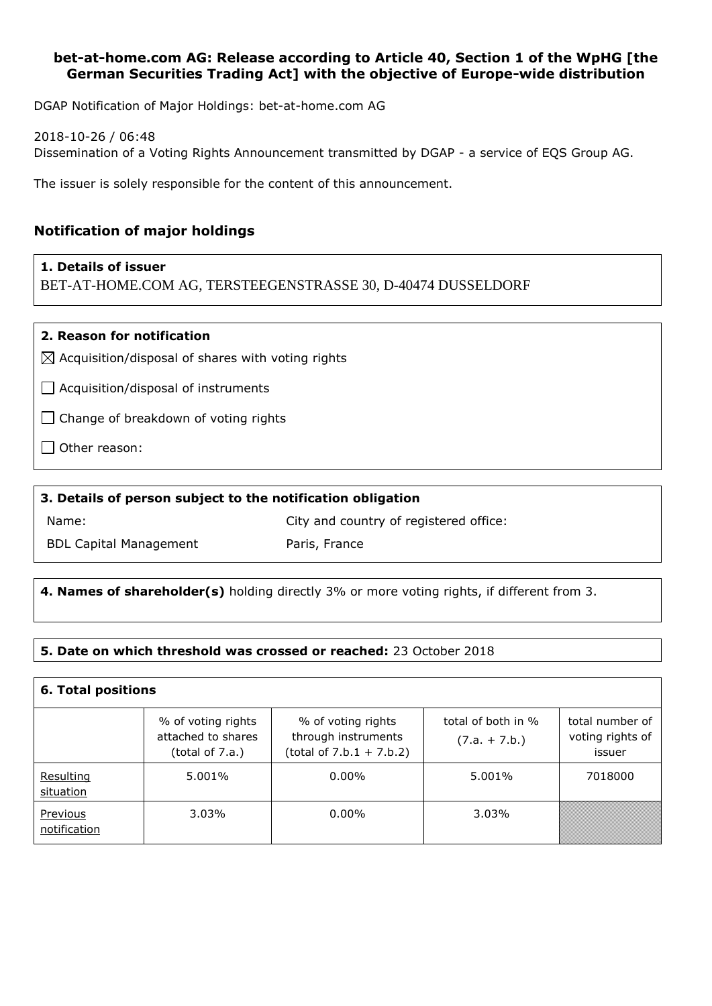### **bet-at-home.com AG: Release according to Article 40, Section 1 of the WpHG [the German Securities Trading Act] with the objective of Europe-wide distribution**

DGAP Notification of Major Holdings: bet-at-home.com AG

2018-10-26 / 06:48 Dissemination of a Voting Rights Announcement transmitted by DGAP - a service of EQS Group AG.

The issuer is solely responsible for the content of this announcement.

# **Notification of major holdings**

#### **1. Details of issuer**

BET-AT-HOME.COM AG, TERSTEEGENSTRASSE 30, D-40474 DUSSELDORF

#### **2. Reason for notification**

 $\boxtimes$  Acquisition/disposal of shares with voting rights

 $\Box$  Acquisition/disposal of instruments

 $\Box$  Change of breakdown of voting rights

 $\Box$  Other reason:

### **3. Details of person subject to the notification obligation**

Name:

City and country of registered office:

BDL Capital Management

Paris, France

# **4. Names of shareholder(s)** holding directly 3% or more voting rights, if different from 3.

#### **5. Date on which threshold was crossed or reached:** 23 October 2018

| <b>6. Total positions</b> |                                                             |                                                                         |                                       |                                               |  |
|---------------------------|-------------------------------------------------------------|-------------------------------------------------------------------------|---------------------------------------|-----------------------------------------------|--|
|                           | % of voting rights<br>attached to shares<br>(total of 7.a.) | % of voting rights<br>through instruments<br>$(total of 7.b.1 + 7.b.2)$ | total of both in %<br>$(7.a. + 7.b.)$ | total number of<br>voting rights of<br>issuer |  |
| Resulting<br>situation    | 5.001%                                                      | $0.00\%$                                                                | 5.001%                                | 7018000                                       |  |
| Previous<br>notification  | 3.03%                                                       | $0.00\%$                                                                | 3.03%                                 |                                               |  |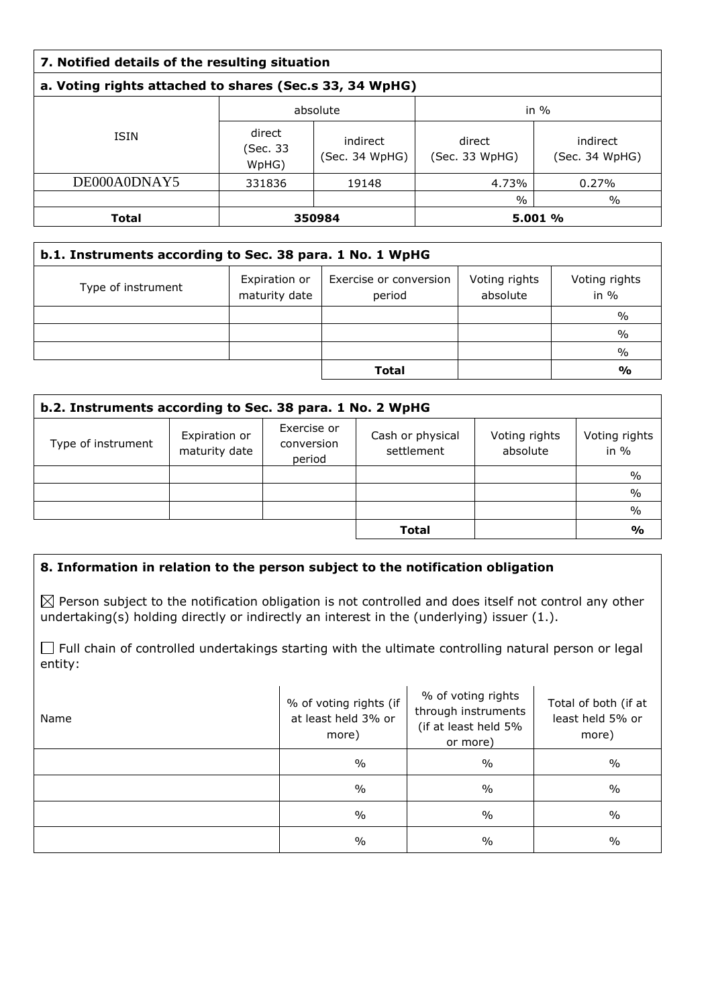# **a. Voting rights attached to shares (Sec.s 33, 34 WpHG)**

|              | absolute                    |                            | in $\%$                  |                            |
|--------------|-----------------------------|----------------------------|--------------------------|----------------------------|
| <b>ISIN</b>  | direct<br>(Sec. 33<br>WpHG) | indirect<br>(Sec. 34 WpHG) | direct<br>(Sec. 33 WpHG) | indirect<br>(Sec. 34 WpHG) |
| DE000A0DNAY5 | 331836                      | 19148                      | 4.73%                    | 0.27%                      |
|              |                             |                            | $\%$                     | $\%$                       |
| Total        | 350984                      |                            |                          | 5.001 %                    |

| b.1. Instruments according to Sec. 38 para. 1 No. 1 WpHG |                                |                                  |                           |                         |
|----------------------------------------------------------|--------------------------------|----------------------------------|---------------------------|-------------------------|
| Type of instrument                                       | Expiration or<br>maturity date | Exercise or conversion<br>period | Voting rights<br>absolute | Voting rights<br>in $%$ |
|                                                          |                                |                                  |                           | $\%$                    |
|                                                          |                                |                                  |                           | $\%$                    |
|                                                          |                                |                                  |                           | $\%$                    |
|                                                          |                                | <b>Total</b>                     |                           | $\frac{0}{0}$           |

| b.2. Instruments according to Sec. 38 para. 1 No. 2 WpHG |                                |                                     |                                |                           |                         |
|----------------------------------------------------------|--------------------------------|-------------------------------------|--------------------------------|---------------------------|-------------------------|
| Type of instrument                                       | Expiration or<br>maturity date | Exercise or<br>conversion<br>period | Cash or physical<br>settlement | Voting rights<br>absolute | Voting rights<br>in $%$ |
|                                                          |                                |                                     |                                |                           | $\%$                    |
|                                                          |                                |                                     |                                |                           | $\frac{0}{0}$           |
|                                                          |                                |                                     |                                |                           | $\%$                    |
|                                                          |                                |                                     | <b>Total</b>                   |                           | $\frac{6}{9}$           |

### **8. Information in relation to the person subject to the notification obligation**

 $\boxtimes$  Person subject to the notification obligation is not controlled and does itself not control any other undertaking(s) holding directly or indirectly an interest in the (underlying) issuer (1.).

Full chain of controlled undertakings starting with the ultimate controlling natural person or legal entity:

| Name | % of voting rights (if<br>at least held 3% or<br>more) | % of voting rights<br>through instruments<br>(if at least held 5%<br>or more) | Total of both (if at<br>least held 5% or<br>more) |
|------|--------------------------------------------------------|-------------------------------------------------------------------------------|---------------------------------------------------|
|      | $\frac{0}{0}$                                          | $\frac{0}{0}$                                                                 | $\frac{0}{0}$                                     |
|      | $\frac{0}{0}$                                          | $\frac{0}{0}$                                                                 | $\%$                                              |
|      | $\frac{0}{0}$                                          | $\frac{0}{0}$                                                                 | $\frac{0}{0}$                                     |
|      | $\frac{0}{0}$                                          | $\frac{0}{0}$                                                                 | $\%$                                              |